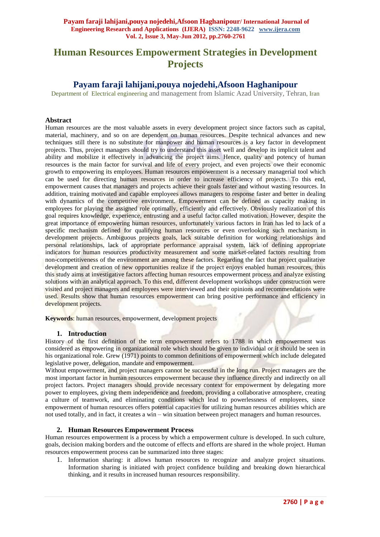# **Human Resources Empowerment Strategies in Development Projects**

# **Payam faraji lahijani,pouya nojedehi,Afsoon Haghanipour**

Department of Electrical engineering and management from Islamic Azad University, Tehran, Iran

# **Abstract**

Human resources are the most valuable assets in every development project since factors such as capital, material, machinery, and so on are dependent on human resources. Despite technical advances and new techniques still there is no substitute for manpower and human resources is a key factor in development projects. Thus, project managers should try to understand this asset well and develop its implicit talent and ability and mobilize it effectively in advancing the project aims. Hence, quality and potency of human resources is the main factor for survival and life of every project, and even projects owe their economic growth to empowering its employees. Human resources empowerment is a necessary managerial tool which can be used for directing human resources in order to increase efficiency of projects. To this end, empowerment causes that managers and projects achieve their goals faster and without wasting resources. In addition, training motivated and capable employees allows managers to response faster and better in dealing with dynamics of the competitive environment. Empowerment can be defined as capacity making in employees for playing the assigned role optimally, efficiently and effectively. Obviously realization of this goal requires knowledge, experience, entrusting and a useful factor called motivation. However, despite the great importance of empowering human resources, unfortunately various factors in Iran has led to lack of a specific mechanism defined for qualifying human resources or even overlooking such mechanism in development projects. Ambiguous projects goals, lack suitable definition for working relationships and personal relationships, lack of appropriate performance appraisal system, lack of defining appropriate indicators for human resources productivity measurement and some market-related factors resulting from non-competitiveness of the environment are among these factors. Regarding the fact that project qualitative development and creation of new opportunities realize if the project enjoys enabled human resources, thus this study aims at investigative factors affecting human resources empowerment process and analyze existing solutions with an analytical approach. To this end, different development workshops under construction were visited and project managers and employees were interviewed and their opinions and recommendations were used. Results show that human resources empowerment can bring positive performance and efficiency in development projects.

**Keywords**: human resources, empowerment, development projects

#### **1. Introduction**

History of the first definition of the term empowerment refers to 1788 in which empowerment was considered as empowering in organizational role which should be given to individual or it should be seen in his organizational role. Grew (1971) points to common definitions of empowerment which include delegated legislative power, delegation, mandate and empowerment.

Without empowerment, and project managers cannot be successful in the long run. Project managers are the most important factor in human resources empowerment because they influence directly and indirectly on all project factors. Project managers should provide necessary context for empowerment by delegating more power to employees, giving them independence and freedom, providing a collaborative atmosphere, creating a culture of teamwork, and eliminating conditions which lead to powerlessness of employees, since empowerment of human resources offers potential capacities for utilizing human resources abilities which are not used totally, and in fact, it creates a win – win situation between project managers and human resources.

# **2. Human Resources Empowerment Process**

Human resources empowerment is a process by which a empowerment culture is developed. In such culture, goals, decision making borders and the outcome of effects and efforts are shared in the whole project. Human resources empowerment process can be summarized into three stages:

1. Information sharing: it allows human resources to recognize and analyze project situations. Information sharing is initiated with project confidence building and breaking down hierarchical thinking, and it results in increased human resources responsibility.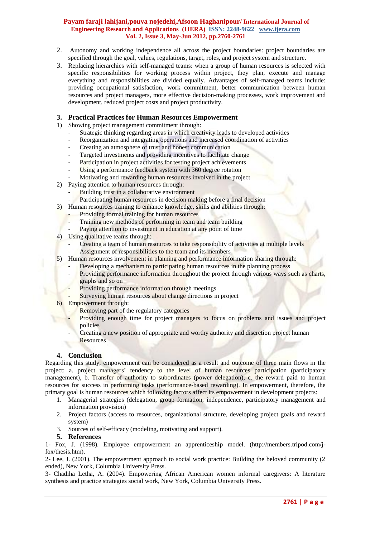### **Payam faraji lahijani,pouya nojedehi,Afsoon Haghanipour/ International Journal of Engineering Research and Applications (IJERA) ISSN: 2248-9622 www.ijera.com Vol. 2, Issue 3, May-Jun 2012, pp.2760-2761**

- 2. Autonomy and working independence all across the project boundaries: project boundaries are specified through the goal, values, regulations, target, roles, and project system and structure.
- 3. Replacing hierarchies with self-managed teams: when a group of human resources is selected with specific responsibilities for working process within project, they plan, execute and manage everything and responsibilities are divided equally. Advantages of self-managed teams include: providing occupational satisfaction, work commitment, better communication between human resources and project managers, more effective decision-making processes, work improvement and development, reduced project costs and project productivity.

# **3. Practical Practices for Human Resources Empowerment**

- 1) Showing project management commitment through:
	- Strategic thinking regarding areas in which creativity leads to developed activities
	- Reorganization and integrating operations and increased coordination of activities
	- Creating an atmosphere of trust and honest communication
	- Targeted investments and providing incentives to facilitate change
	- Participation in project activities for testing project achievements
	- Using a performance feedback system with 360 degree rotation
	- Motivating and rewarding human resources involved in the project
- 2) Paying attention to human resources through:
	- Building trust in a collaborative environment
	- Participating human resources in decision making before a final decision
- 3) Human resources training to enhance knowledge, skills and abilities through:
	- Providing formal training for human resources
	- Training new methods of performing in team and team building
	- Paying attention to investment in education at any point of time
- 4) Using qualitative teams through:
	- Creating a team of human resources to take responsibility of activities at multiple levels
	- Assignment of responsibilities to the team and its members
- 5) Human resources involvement in planning and performance information sharing through:
	- Developing a mechanism to participating human resources in the planning process
	- Providing performance information throughout the project through various ways such as charts, graphs and so on
	- Providing performance information through meetings
	- Surveying human resources about change directions in project
- 6) Empowerment through:
	- Removing part of the regulatory categories
	- Providing enough time for project managers to focus on problems and issues and project policies
	- Creating a new position of appropriate and worthy authority and discretion project human **Resources**

# **4. Conclusion**

Regarding this study, empowerment can be considered as a result and outcome of three main flows in the project: a. project managers' tendency to the level of human resources participation (participatory management), b. Transfer of authority to subordinates (power delegation), c. the reward paid to human resources for success in performing tasks (performance-based rewarding). In empowerment, therefore, the primary goal is human resources which following factors affect its empowerment in development projects:

- 1. Managerial strategies (delegation, group formation, independence, participatory management and information provision)
- 2. Project factors (access to resources, organizational structure, developing project goals and reward system)
- 3. Sources of self-efficacy (modeling, motivating and support).

### **5. References**

1- Fox, J. (1998). Employee empowerment an apprenticeship model. (http://members.tripod.com/jfox/thesis.htm).

2- Lee, J. (2001). The empowerment approach to social work practice: Building the beloved community (2 ended), New York, Columbia University Press.

3- Chadiha Letha, A. (2004). Empowering African American women informal caregivers: A literature synthesis and practice strategies social work, New York, Columbia University Press.